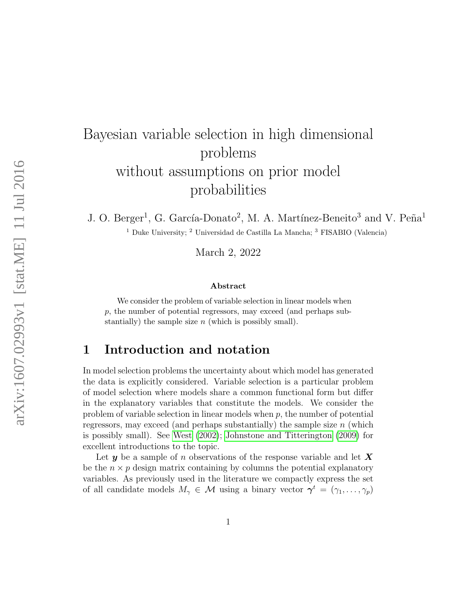# Bayesian variable selection in high dimensional problems without assumptions on prior model probabilities

J. O. Berger<sup>1</sup>, G. García-Donato<sup>2</sup>, M. A. Martínez-Beneito<sup>3</sup> and V. Peña<sup>1</sup> <sup>1</sup> Duke University; <sup>2</sup> Universidad de Castilla La Mancha; <sup>3</sup> FISABIO (Valencia)

March 2, 2022

#### Abstract

We consider the problem of variable selection in linear models when p, the number of potential regressors, may exceed (and perhaps substantially) the sample size  $n$  (which is possibly small).

#### 1 Introduction and notation

In model selection problems the uncertainty about which model has generated the data is explicitly considered. Variable selection is a particular problem of model selection where models share a common functional form but differ in the explanatory variables that constitute the models. We consider the problem of variable selection in linear models when  $p$ , the number of potential regressors, may exceed (and perhaps substantially) the sample size  $n$  (which is possibly small). See [West](#page-17-0) [\(2002\)](#page-17-0); [Johnstone and Titterington](#page-17-1) [\(2009\)](#page-17-1) for excellent introductions to the topic.

Let y be a sample of n observations of the response variable and let  $X$ be the  $n \times p$  design matrix containing by columns the potential explanatory variables. As previously used in the literature we compactly express the set of all candidate models  $M_{\gamma} \in \mathcal{M}$  using a binary vector  $\gamma^t = (\gamma_1, \dots, \gamma_p)$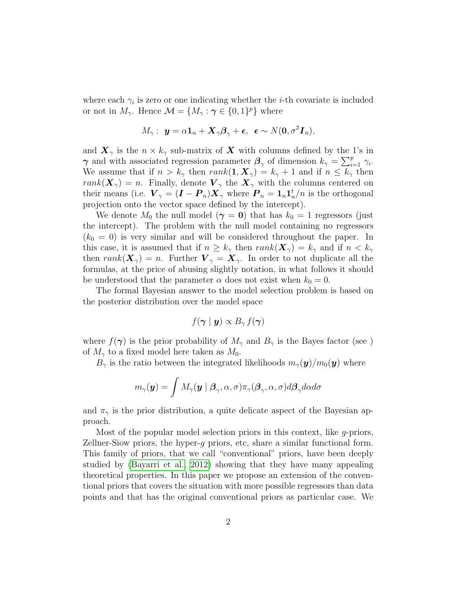where each  $\gamma_i$  is zero or one indicating whether the *i*-th covariate is included or not in  $M_{\gamma}$ . Hence  $\mathcal{M} = \{M_{\gamma} : \gamma \in \{0,1\}^p\}$  where

$$
M_{\gamma}: \ \mathbf{y} = \alpha \mathbf{1}_n + \mathbf{X}_{\gamma} \boldsymbol{\beta}_{\gamma} + \boldsymbol{\epsilon}, \ \ \boldsymbol{\epsilon} \sim N(\mathbf{0}, \sigma^2 \mathbf{I}_n),
$$

and  $\mathbf{X}_{\gamma}$  is the  $n \times k_{\gamma}$  sub-matrix of X with columns defined by the 1's in  $\gamma$  and with associated regression parameter  $\beta_{\gamma}$  of dimension  $k_{\gamma} = \sum_{i=1}^{p} \gamma_i$ . We assume that if  $n > k_{\gamma}$  then  $rank(1, X_{\gamma}) = k_{\gamma} + 1$  and if  $n \leq k_{\gamma}$  then  $rank(\mathbf{X}_{\gamma}) = n$ . Finally, denote  $\mathbf{V}_{\gamma}$  the  $\mathbf{X}_{\gamma}$  with the columns centered on their means (i.e.  $\boldsymbol{V}_{\gamma} = (\boldsymbol{I} - \boldsymbol{P}_n) \boldsymbol{X}_{\gamma}$  where  $\boldsymbol{P}_n = \boldsymbol{1}_n \boldsymbol{1}_n^t/n$  is the orthogonal projection onto the vector space defined by the intercept).

We denote  $M_0$  the null model  $(\gamma = 0)$  that has  $k_0 = 1$  regressors (just the intercept). The problem with the null model containing no regressors  $(k_0 = 0)$  is very similar and will be considered throughout the paper. In this case, it is assumed that if  $n \geq k_{\gamma}$  then  $rank(\mathbf{X}_{\gamma}) = k_{\gamma}$  and if  $n < k_{\gamma}$ then  $rank(\mathbf{X}_{\gamma}) = n$ . Further  $\mathbf{V}_{\gamma} = \mathbf{X}_{\gamma}$ . In order to not duplicate all the formulas, at the price of abusing slightly notation, in what follows it should be understood that the parameter  $\alpha$  does not exist when  $k_0 = 0$ .

The formal Bayesian answer to the model selection problem is based on the posterior distribution over the model space

$$
f(\boldsymbol{\gamma}\mid \boldsymbol{y})\propto B_{\gamma}\,f(\boldsymbol{\gamma})
$$

where  $f(\gamma)$  is the prior probability of  $M_{\gamma}$  and  $B_{\gamma}$  is the Bayes factor (see ) of  $M_{\gamma}$  to a fixed model here taken as  $M_0$ .

 $B_{\gamma}$  is the ratio between the integrated likelihoods  $m_{\gamma}(\mathbf{y})/m_0(\mathbf{y})$  where

$$
m_{\gamma}(\bm{y}) = \int M_{\gamma}(\bm{y} \mid \bm{\beta}_{\gamma}, \alpha, \sigma) \pi_{\gamma}(\bm{\beta}_{\gamma}, \alpha, \sigma) d\bm{\beta}_{\gamma} d\alpha d\sigma
$$

and  $\pi_{\gamma}$  is the prior distribution, a quite delicate aspect of the Bayesian approach.

Most of the popular model selection priors in this context, like g-priors, Zellner-Siow priors, the hyper-g priors, etc, share a similar functional form. This family of priors, that we call "conventional" priors, have been deeply studied by [\(Bayarri et al., 2012\)](#page-16-0) showing that they have many appealing theoretical properties. In this paper we propose an extension of the conventional priors that covers the situation with more possible regressors than data points and that has the original conventional priors as particular case. We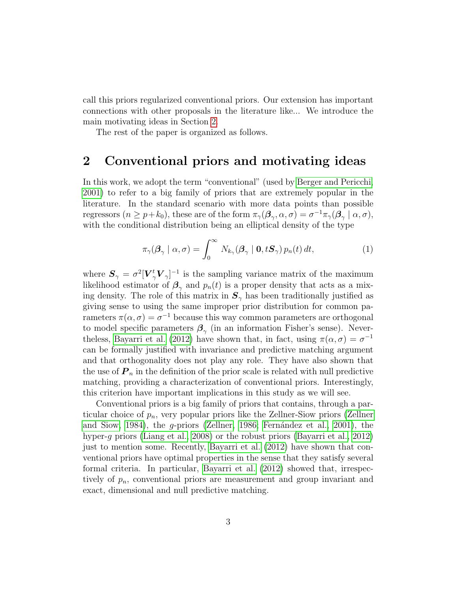call this priors regularized conventional priors. Our extension has important connections with other proposals in the literature like... We introduce the main motivating ideas in Section [2.](#page-2-0)

The rest of the paper is organized as follows.

#### <span id="page-2-0"></span>2 Conventional priors and motivating ideas

In this work, we adopt the term "conventional" (used by [Berger and Pericchi,](#page-16-1) [2001\)](#page-16-1) to refer to a big family of priors that are extremely popular in the literature. In the standard scenario with more data points than possible regressors  $(n \geq p+k_0)$ , these are of the form  $\pi_\gamma(\mathcal{B}_{\gamma}, \alpha, \sigma) = \sigma^{-1}\pi_\gamma(\mathcal{B}_{\gamma} | \alpha, \sigma)$ , with the conditional distribution being an elliptical density of the type

$$
\pi_{\gamma}(\boldsymbol{\beta}_{\gamma} \mid \alpha, \sigma) = \int_{0}^{\infty} N_{k_{\gamma}}(\boldsymbol{\beta}_{\gamma} \mid \mathbf{0}, t\mathbf{S}_{\gamma}) p_{n}(t) dt, \qquad (1)
$$

where  $S_{\gamma} = \sigma^2 [\boldsymbol{V}_{\gamma}^t \boldsymbol{V}_{\gamma}]^{-1}$  is the sampling variance matrix of the maximum likelihood estimator of  $\beta_{\gamma}$  and  $p_n(t)$  is a proper density that acts as a mixing density. The role of this matrix in  $S_{\gamma}$  has been traditionally justified as giving sense to using the same improper prior distribution for common parameters  $\pi(\alpha, \sigma) = \sigma^{-1}$  because this way common parameters are orthogonal to model specific parameters  $\beta_{\gamma}$  (in an information Fisher's sense). Never-the less, [Bayarri et al.](#page-16-0) [\(2012\)](#page-16-0) have shown that, in fact, using  $\pi(\alpha, \sigma) = \sigma^{-1}$ can be formally justified with invariance and predictive matching argument and that orthogonality does not play any role. They have also shown that the use of  $P_n$  in the definition of the prior scale is related with null predictive matching, providing a characterization of conventional priors. Interestingly, this criterion have important implications in this study as we will see.

Conventional priors is a big family of priors that contains, through a particular choice of  $p_n$ , very popular priors like the Zellner-Siow priors [\(Zellner](#page-17-2) [and Siow, 1984\)](#page-17-2), the g-priors [\(Zellner, 1986;](#page-17-3) Fernández et al., 2001), the hyper-g priors [\(Liang et al., 2008\)](#page-17-4) or the robust priors [\(Bayarri et al., 2012\)](#page-16-0) just to mention some. Recently, [Bayarri et al.](#page-16-0) [\(2012\)](#page-16-0) have shown that conventional priors have optimal properties in the sense that they satisfy several formal criteria. In particular, [Bayarri et al.](#page-16-0) [\(2012\)](#page-16-0) showed that, irrespectively of  $p_n$ , conventional priors are measurement and group invariant and exact, dimensional and null predictive matching.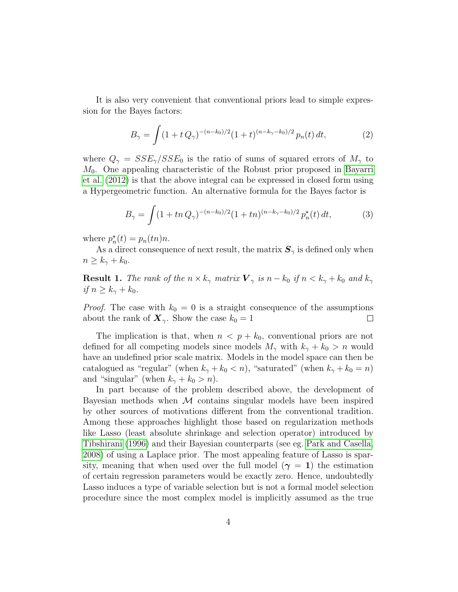It is also very convenient that conventional priors lead to simple expression for the Bayes factors:

$$
B_{\gamma} = \int (1 + t Q_{\gamma})^{-(n-k_0)/2} (1 + t)^{(n-k_{\gamma} - k_0)/2} p_n(t) dt, \qquad (2)
$$

where  $Q_{\gamma} = SSE_{\gamma}/SSE_0$  is the ratio of sums of squared errors of  $M_{\gamma}$  to M0. One appealing characteristic of the Robust prior proposed in [Bayarri](#page-16-0) [et al.](#page-16-0) [\(2012\)](#page-16-0) is that the above integral can be expressed in closed form using a Hypergeometric function. An alternative formula for the Bayes factor is

$$
B_{\gamma} = \int (1 + tn \, Q_{\gamma})^{-(n-k_0)/2} (1 + tn)^{(n-k_{\gamma}-k_0)/2} \, p_n^{\star}(t) \, dt,\tag{3}
$$

where  $p_n^*(t) = p_n(tn)n$ .

As a direct consequence of next result, the matrix  $S_{\gamma}$  is defined only when  $n \geq k_{\gamma} + k_0.$ 

<span id="page-3-0"></span>**Result 1.** The rank of the  $n \times k_{\gamma}$  matrix  $\mathbf{V}_{\gamma}$  is  $n - k_0$  if  $n \leq k_{\gamma} + k_0$  and  $k_{\gamma}$ if  $n \geq k_{\gamma} + k_0$ .

*Proof.* The case with  $k_0 = 0$  is a straight consequence of the assumptions about the rank of  $\mathbf{X}_{\gamma}$ . Show the case  $k_0 = 1$  $\Box$ 

The implication is that, when  $n < p + k_0$ , conventional priors are not defined for all competing models since models  $M_{\gamma}$  with  $k_{\gamma} + k_0 > n$  would have an undefined prior scale matrix. Models in the model space can then be catalogued as "regular" (when  $k_{\gamma} + k_0 < n$ ), "saturated" (when  $k_{\gamma} + k_0 = n$ ) and "singular" (when  $k_{\gamma} + k_0 > n$ ).

In part because of the problem described above, the development of Bayesian methods when  $\mathcal M$  contains singular models have been inspired by other sources of motivations different from the conventional tradition. Among these approaches highlight those based on regularization methods like Lasso (least absolute shrinkage and selection operator) introduced by [Tibshirani](#page-17-5) [\(1996\)](#page-17-5) and their Bayesian counterparts (see eg. [Park and Casella,](#page-17-6) [2008\)](#page-17-6) of using a Laplace prior. The most appealing feature of Lasso is sparsity, meaning that when used over the full model ( $\gamma = 1$ ) the estimation of certain regression parameters would be exactly zero. Hence, undoubtedly Lasso induces a type of variable selection but is not a formal model selection procedure since the most complex model is implicitly assumed as the true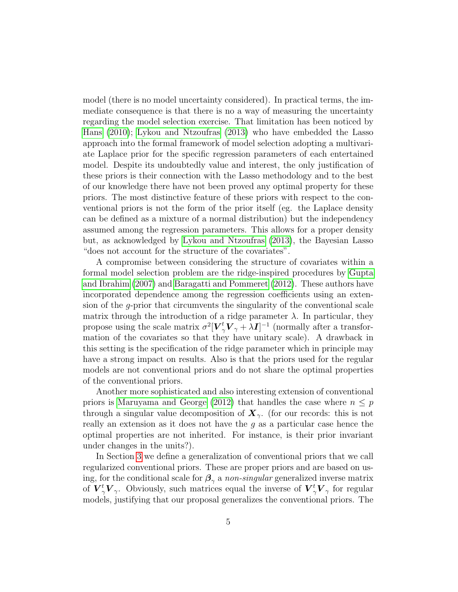model (there is no model uncertainty considered). In practical terms, the immediate consequence is that there is no a way of measuring the uncertainty regarding the model selection exercise. That limitation has been noticed by [Hans](#page-16-3) [\(2010\)](#page-16-3); [Lykou and Ntzoufras](#page-17-7) [\(2013\)](#page-17-7) who have embedded the Lasso approach into the formal framework of model selection adopting a multivariate Laplace prior for the specific regression parameters of each entertained model. Despite its undoubtedly value and interest, the only justification of these priors is their connection with the Lasso methodology and to the best of our knowledge there have not been proved any optimal property for these priors. The most distinctive feature of these priors with respect to the conventional priors is not the form of the prior itself (eg. the Laplace density can be defined as a mixture of a normal distribution) but the independency assumed among the regression parameters. This allows for a proper density but, as acknowledged by [Lykou and Ntzoufras](#page-17-7) [\(2013\)](#page-17-7), the Bayesian Lasso "does not account for the structure of the covariates".

A compromise between considering the structure of covariates within a formal model selection problem are the ridge-inspired procedures by [Gupta](#page-16-4) [and Ibrahim](#page-16-4) [\(2007\)](#page-16-4) and [Baragatti and Pommeret](#page-15-0) [\(2012\)](#page-15-0). These authors have incorporated dependence among the regression coefficients using an extension of the g-prior that circumvents the singularity of the conventional scale matrix through the introduction of a ridge parameter  $\lambda$ . In particular, they propose using the scale matrix  $\sigma^2 [\bm{V}_\gamma^t \bm{V}_\gamma + \lambda \bm{I}]^{-1}$  (normally after a transformation of the covariates so that they have unitary scale). A drawback in this setting is the specification of the ridge parameter which in principle may have a strong impact on results. Also is that the priors used for the regular models are not conventional priors and do not share the optimal properties of the conventional priors.

Another more sophisticated and also interesting extension of conventional priors is [Maruyama and George](#page-17-8) [\(2012\)](#page-17-8) that handles the case where  $n \leq p$ through a singular value decomposition of  $\mathbf{X}_{\gamma}$ . (for our records: this is not really an extension as it does not have the  $g$  as a particular case hence the optimal properties are not inherited. For instance, is their prior invariant under changes in the units?).

In Section [3](#page-5-0) we define a generalization of conventional priors that we call regularized conventional priors. These are proper priors and are based on using, for the conditional scale for  $\beta_{\gamma}$  a non-singular generalized inverse matrix of  $\overline{V}^t_{\gamma}V_{\gamma}$ . Obviously, such matrices equal the inverse of  $\overline{V}^t_{\gamma}V_{\gamma}$  for regular models, justifying that our proposal generalizes the conventional priors. The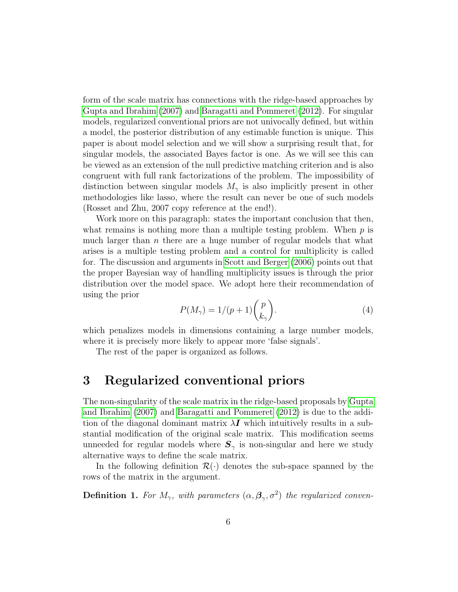form of the scale matrix has connections with the ridge-based approaches by [Gupta and Ibrahim](#page-16-4) [\(2007\)](#page-16-4) and [Baragatti and Pommeret](#page-15-0) [\(2012\)](#page-15-0). For singular models, regularized conventional priors are not univocally defined, but within a model, the posterior distribution of any estimable function is unique. This paper is about model selection and we will show a surprising result that, for singular models, the associated Bayes factor is one. As we will see this can be viewed as an extension of the null predictive matching criterion and is also congruent with full rank factorizations of the problem. The impossibility of distinction between singular models  $M_{\gamma}$  is also implicitly present in other methodologies like lasso, where the result can never be one of such models (Rosset and Zhu, 2007 copy reference at the end!).

Work more on this paragraph: states the important conclusion that then, what remains is nothing more than a multiple testing problem. When  $p$  is much larger than  $n$  there are a huge number of regular models that what arises is a multiple testing problem and a control for multiplicity is called for. The discussion and arguments in [Scott and Berger](#page-17-9) [\(2006\)](#page-17-9) points out that the proper Bayesian way of handling multiplicity issues is through the prior distribution over the model space. We adopt here their recommendation of using the prior

<span id="page-5-1"></span>
$$
P(M_{\gamma}) = 1/(p+1) \binom{p}{k_{\gamma}}.
$$
\n(4)

which penalizes models in dimensions containing a large number models, where it is precisely more likely to appear more 'false signals'.

The rest of the paper is organized as follows.

### <span id="page-5-0"></span>3 Regularized conventional priors

The non-singularity of the scale matrix in the ridge-based proposals by [Gupta](#page-16-4) [and Ibrahim](#page-16-4) [\(2007\)](#page-16-4) and [Baragatti and Pommeret](#page-15-0) [\(2012\)](#page-15-0) is due to the addition of the diagonal dominant matrix  $\lambda I$  which intuitively results in a substantial modification of the original scale matrix. This modification seems unneeded for regular models where  $S_{\gamma}$  is non-singular and here we study alternative ways to define the scale matrix.

In the following definition  $\mathcal{R}(\cdot)$  denotes the sub-space spanned by the rows of the matrix in the argument.

**Definition 1.** For  $M_{\gamma}$ , with parameters  $(\alpha, \beta_{\gamma}, \sigma^2)$  the regularized conven-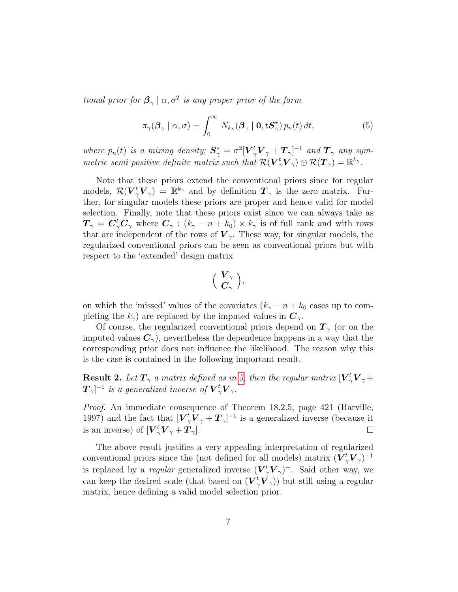tional prior for  $\beta_{\gamma} \mid \alpha, \sigma^2$  is any proper prior of the form

<span id="page-6-0"></span>
$$
\pi_{\gamma}(\boldsymbol{\beta}_{\gamma} \mid \alpha, \sigma) = \int_{0}^{\infty} N_{k_{\gamma}}(\boldsymbol{\beta}_{\gamma} \mid \mathbf{0}, t\mathbf{S}_{\gamma}^{\star}) p_{n}(t) dt, \qquad (5)
$$

where  $p_n(t)$  is a mixing density;  $S^{\star}_{\gamma} = \sigma^2 [\bm{V}_{\gamma}^t \bm{V}_{\gamma} + \bm{T}_{\gamma}]^{-1}$  and  $\bm{T}_{\gamma}$  any symmetric semi positive definite matrix such that  $\mathcal{R}(\boldsymbol{V}_{\gamma}^{t}\boldsymbol{V}_{\gamma}) \oplus \mathcal{R}(\boldsymbol{T}_{\gamma}) = \mathbb{R}^{k_{\gamma}}$ .

Note that these priors extend the conventional priors since for regular models,  $\mathcal{R}(V^t_{\gamma}V_{\gamma}) = \mathbb{R}^{k_{\gamma}}$  and by definition  $T_{\gamma}$  is the zero matrix. Further, for singular models these priors are proper and hence valid for model selection. Finally, note that these priors exist since we can always take as  $T_\gamma = \bm{C}^t_\gamma \bm{C}_\gamma$  where  $\bm{C}_\gamma : (k_\gamma - n + k_0) \times k_\gamma$  is of full rank and with rows that are independent of the rows of  $V_{\gamma}$ . These way, for singular models, the regularized conventional priors can be seen as conventional priors but with respect to the 'extended' design matrix

$$
\Big(\begin{array}{c}\boldsymbol{V}_\gamma\\ \boldsymbol{C}_\gamma\end{array}\Big),
$$

on which the 'missed' values of the covariates  $(k_{\gamma} - n + k_0)$  cases up to completing the  $k_{\gamma}$  are replaced by the imputed values in  $\mathbf{C}_{\gamma}$ .

Of course, the regularized conventional priors depend on  $T_{\gamma}$  (or on the imputed values  $C_{\gamma}$ , nevertheless the dependence happens in a way that the corresponding prior does not influence the likelihood. The reason why this is the case is contained in the following important result.

**Result 2.** Let  $T_{\gamma}$  a matrix defined as in [5,](#page-6-0) then the regular matrix  $[\boldsymbol{V}_{\gamma}^t \boldsymbol{V}_{\gamma} + \boldsymbol{V}_{\gamma}]$  $\boldsymbol{T}_{\gamma}]^{-1}$  is a generalized inverse of  $\boldsymbol{V}_{\gamma}^{t}\boldsymbol{V}_{\gamma}.$ 

Proof. An immediate consequence of Theorem 18.2.5, page 421 (Harville, 1997) and the fact that  $[\boldsymbol{V}_{\gamma}^t \boldsymbol{V}_{\gamma} + \boldsymbol{T}_{\gamma}]^{-1}$  is a generalized inverse (because it is an inverse) of  $[\boldsymbol{V}_{\gamma}^t \boldsymbol{V}_{\gamma} + \boldsymbol{T}_{\gamma}].$  $\Box$ 

The above result justifies a very appealing interpretation of regularized conventional priors since the (not defined for all models) matrix  $(\boldsymbol{V}^t_{\gamma} \boldsymbol{V}_{\gamma})^{-1}$ is replaced by a *regular* generalized inverse  $(\boldsymbol{V}^t_{\gamma} \boldsymbol{V}_{\gamma})$ <sup>-</sup>. Said other way, we can keep the desired scale (that based on  $(\overline{V}^t_{\gamma} \overline{V}_{\gamma})$ ) but still using a regular matrix, hence defining a valid model selection prior.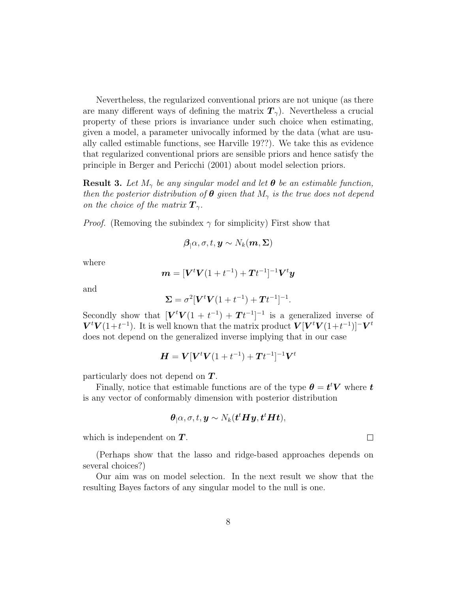Nevertheless, the regularized conventional priors are not unique (as there are many different ways of defining the matrix  $T_{\gamma}$ ). Nevertheless a crucial property of these priors is invariance under such choice when estimating, given a model, a parameter univocally informed by the data (what are usually called estimable functions, see Harville 19??). We take this as evidence that regularized conventional priors are sensible priors and hence satisfy the principle in Berger and Pericchi (2001) about model selection priors.

**Result 3.** Let  $M_{\gamma}$  be any singular model and let  $\theta$  be an estimable function, then the posterior distribution of  $\theta$  given that  $M_{\gamma}$  is the true does not depend on the choice of the matrix  $\mathbf{T}_{\gamma}$ .

*Proof.* (Removing the subindex  $\gamma$  for simplicity) First show that

$$
\boldsymbol{\beta}_{|}\alpha,\sigma,t,\boldsymbol{y}\sim N_k(\boldsymbol{m},\boldsymbol{\Sigma})
$$

where

$$
\boldsymbol{m} = [\boldsymbol{V}^t \boldsymbol{V} (1+t^{-1}) + \boldsymbol{T} t^{-1}]^{-1} \boldsymbol{V}^t \boldsymbol{y}
$$

and

$$
\Sigma = \sigma^2 [\bm{V}^t \bm{V} (1 + t^{-1}) + \bm{T} t^{-1}]^{-1}.
$$

Secondly show that  $[\mathbf{V}^t \mathbf{V}(1 + t^{-1}) + \mathbf{T}t^{-1}]^{-1}$  is a generalized inverse of  $V^t V(1+t^{-1})$ . It is well known that the matrix product  $V[V^t V(1+t^{-1})]$ <sup>-</sup> $V^t$ does not depend on the generalized inverse implying that in our case

$$
\boldsymbol{H} = \boldsymbol{V}[\boldsymbol{V}^t\boldsymbol{V}(1+t^{-1}) + \boldsymbol{T}t^{-1}]^{-1}\boldsymbol{V}^t
$$

particularly does not depend on  $T$ .

Finally, notice that estimable functions are of the type  $\theta = t^t V$  where t is any vector of conformably dimension with posterior distribution

$$
\boldsymbol{\theta}_{|} \alpha, \sigma, t, \boldsymbol{y} \sim N_k(\boldsymbol{t}^t \boldsymbol{H} \boldsymbol{y}, \boldsymbol{t}^t \boldsymbol{H} \boldsymbol{t}),
$$

which is independent on  $T$ .

(Perhaps show that the lasso and ridge-based approaches depends on several choices?)

Our aim was on model selection. In the next result we show that the resulting Bayes factors of any singular model to the null is one.

 $\Box$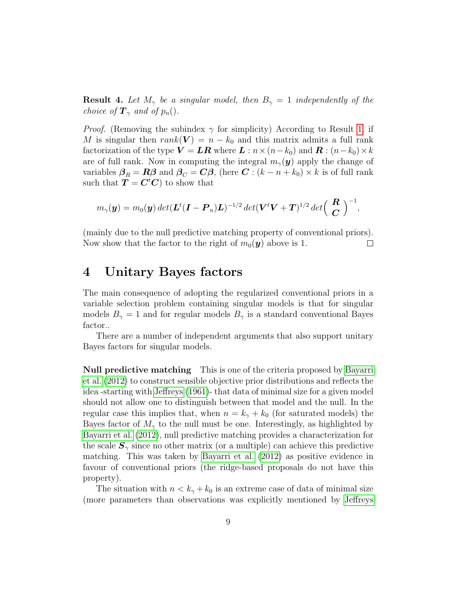**Result 4.** Let  $M_{\gamma}$  be a singular model, then  $B_{\gamma} = 1$  independently of the choice of  $\mathbf{T}_{\gamma}$  and of  $p_n$ .

*Proof.* (Removing the subindex  $\gamma$  for simplicity) According to Result [1,](#page-3-0) if M is singular then  $rank(V) = n - k_0$  and this matrix admits a full rank factorization of the type  $\mathbf{V} = \mathbf{LR}$  where  $\mathbf{L}: n \times (n-k_0)$  and  $\mathbf{R}: (n-k_0) \times k$ are of full rank. Now in computing the integral  $m_{\gamma}(\mathbf{y})$  apply the change of variables  $\beta_R = R\beta$  and  $\beta_C = C\beta$ , (here  $C : (k - n + k_0) \times k$  is of full rank such that  $T = C<sup>t</sup>C$  to show that

$$
m_{\gamma}(\boldsymbol{y})=m_0(\boldsymbol{y})\det(\boldsymbol{L}^t(\boldsymbol{I}-\boldsymbol{P}_n)\boldsymbol{L})^{-1/2}\det(\boldsymbol{V}^t\boldsymbol{V}+\boldsymbol{T})^{1/2}\det\Bigl(\begin{array}{c}\boldsymbol{R}\\ \boldsymbol{C}\end{array}\Bigr)^{-1},
$$

(mainly due to the null predictive matching property of conventional priors). Now show that the factor to the right of  $m_0(\mathbf{y})$  above is 1.  $\Box$ 

#### 4 Unitary Bayes factors

The main consequence of adopting the regularized conventional priors in a variable selection problem containing singular models is that for singular models  $B_{\gamma} = 1$  and for regular models  $B_{\gamma}$  is a standard conventional Bayes factor..

There are a number of independent arguments that also support unitary Bayes factors for singular models.

Null predictive matching This is one of the criteria proposed by [Bayarri](#page-16-0) [et al.](#page-16-0) [\(2012\)](#page-16-0) to construct sensible objective prior distributions and reflects the idea -starting with [Jeffreys](#page-16-5) [\(1961\)](#page-16-5)- that data of minimal size for a given model should not allow one to distinguish between that model and the null. In the regular case this implies that, when  $n = k_{\gamma} + k_0$  (for saturated models) the Bayes factor of  $M_{\gamma}$  to the null must be one. Interestingly, as highlighted by [Bayarri et al.](#page-16-0) [\(2012\)](#page-16-0), null predictive matching provides a characterization for the scale  $S_{\gamma}$  since no other matrix (or a multiple) can achieve this predictive matching. This was taken by [Bayarri et al.](#page-16-0) [\(2012\)](#page-16-0) as positive evidence in favour of conventional priors (the ridge-based proposals do not have this property).

The situation with  $n < k_{\gamma} + k_0$  is an extreme case of data of minimal size (more parameters than observations was explicitly mentioned by [Jeffreys](#page-16-5)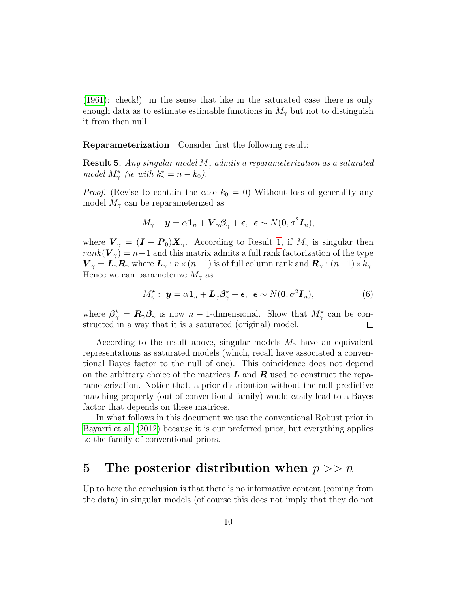[\(1961\)](#page-16-5): check!) in the sense that like in the saturated case there is only enough data as to estimate estimable functions in  $M_{\gamma}$  but not to distinguish it from then null.

Reparameterization Consider first the following result:

**Result 5.** Any singular model  $M_{\gamma}$  admits a reparameterization as a saturated model  $M_{\gamma}^{\star}$  (ie with  $k_{\gamma}^{\star} = n - k_0$ ).

*Proof.* (Revise to contain the case  $k_0 = 0$ ) Without loss of generality any model  $M_{\gamma}$  can be reparameterized as

$$
M_{\gamma}: \ \mathbf{y}=\alpha\mathbf{1}_n+\boldsymbol{V}_{\gamma}\boldsymbol{\beta}_{\gamma}+\boldsymbol{\epsilon},\ \ \boldsymbol{\epsilon}\sim N(\mathbf{0},\sigma^2\boldsymbol{I}_n),
$$

where  $V_{\gamma} = (\mathbf{I} - \mathbf{P}_0) \mathbf{X}_{\gamma}$ . According to Result [1,](#page-3-0) if  $M_{\gamma}$  is singular then  $rank(\mathbf{V}_{\gamma}) = n-1$  and this matrix admits a full rank factorization of the type  $\bm{V}_{\gamma} = \bm{L}_{\gamma} \bm{R}_{\gamma}$  where  $\bm{L}_{\gamma} : n \times (n-1)$  is of full column rank and  $\bm{R}_{\gamma} : (n-1) \times k_{\gamma}$ . Hence we can parameterize  $M_{\gamma}$  as

$$
M_{\gamma}^{\star}: \ \mathbf{y} = \alpha \mathbf{1}_n + \mathbf{L}_{\gamma} \boldsymbol{\beta}_{\gamma}^{\star} + \boldsymbol{\epsilon}, \ \ \boldsymbol{\epsilon} \sim N(\mathbf{0}, \sigma^2 \mathbf{I}_n), \tag{6}
$$

where  $\beta^*_{\gamma} = \mathbf{R}_{\gamma} \beta_{\gamma}$  is now  $n-1$ -dimensional. Show that  $M^*_{\gamma}$  can be constructed in a way that it is a saturated (original) model.  $\Box$ 

According to the result above, singular models  $M_{\gamma}$  have an equivalent representations as saturated models (which, recall have associated a conventional Bayes factor to the null of one). This coincidence does not depend on the arbitrary choice of the matrices  $\boldsymbol{L}$  and  $\boldsymbol{R}$  used to construct the reparameterization. Notice that, a prior distribution without the null predictive matching property (out of conventional family) would easily lead to a Bayes factor that depends on these matrices.

In what follows in this document we use the conventional Robust prior in [Bayarri et al.](#page-16-0) [\(2012\)](#page-16-0) because it is our preferred prior, but everything applies to the family of conventional priors.

#### 5 The posterior distribution when  $p >> n$

Up to here the conclusion is that there is no informative content (coming from the data) in singular models (of course this does not imply that they do not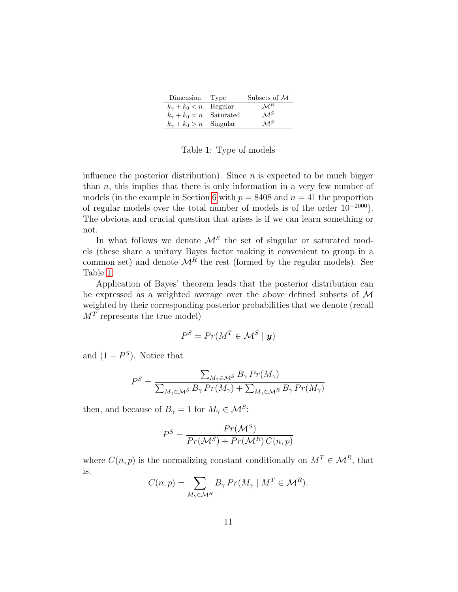| Dimension Type                   | Subsets of $\mathcal M$ |
|----------------------------------|-------------------------|
| $k_{\gamma} + k_0 < n$ Regular   | $\mathcal{M}^R$         |
| $k_{\gamma} + k_0 = n$ Saturated | $\mathcal{M}^S$         |
| $k_{\gamma} + k_0 > n$ Singular  | $\mathcal{M}^S$         |

<span id="page-10-0"></span>Table 1: Type of models

influence the posterior distribution). Since  $n$  is expected to be much bigger than  $n$ , this implies that there is only information in a very few number of models (in the example in Section [6](#page-11-0) with  $p = 8408$  and  $n = 41$  the proportion of regular models over the total number of models is of the order  $10^{-2000}$ ). The obvious and crucial question that arises is if we can learn something or not.

In what follows we denote  $\mathcal{M}^S$  the set of singular or saturated models (these share a unitary Bayes factor making it convenient to group in a common set) and denote  $\mathcal{M}^R$  the rest (formed by the regular models). See Table [1.](#page-10-0)

Application of Bayes' theorem leads that the posterior distribution can be expressed as a weighted average over the above defined subsets of  $\mathcal M$ weighted by their corresponding posterior probabilities that we denote (recall  $M<sup>T</sup>$  represents the true model)

$$
P^S = Pr(M^T \in \mathcal{M}^S \mid \mathbf{y})
$$

and  $(1 - P^S)$ . Notice that

$$
P^{S} = \frac{\sum_{M_{\gamma} \in \mathcal{M}^{S}} B_{\gamma} Pr(M_{\gamma})}{\sum_{M_{\gamma} \in \mathcal{M}^{S}} B_{\gamma} Pr(M_{\gamma}) + \sum_{M_{\gamma} \in \mathcal{M}^{R}} B_{\gamma} Pr(M_{\gamma})}
$$

then, and because of  $B_{\gamma} = 1$  for  $M_{\gamma} \in \mathcal{M}^{S}$ :

$$
P^{S} = \frac{Pr(\mathcal{M}^{S})}{Pr(\mathcal{M}^{S}) + Pr(\mathcal{M}^{R}) C(n, p)}
$$

where  $C(n, p)$  is the normalizing constant conditionally on  $M^T \in \mathcal{M}^R$ , that is,

$$
C(n,p) = \sum_{M_{\gamma} \in \mathcal{M}^R} B_{\gamma} Pr(M_{\gamma} \mid M^T \in \mathcal{M}^R).
$$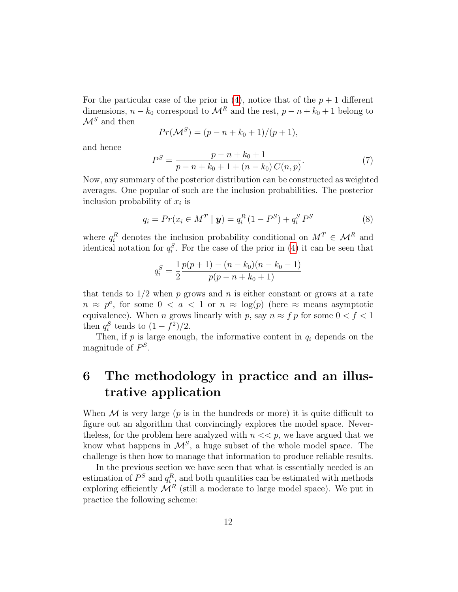For the particular case of the prior in  $(4)$ , notice that of the  $p + 1$  different dimensions,  $n - k_0$  correspond to  $\mathcal{M}^R$  and the rest,  $p - n + k_0 + 1$  belong to  $\mathcal{M}^S$  and then

$$
Pr(\mathcal{M}^S) = (p - n + k_0 + 1)/(p + 1),
$$

and hence

<span id="page-11-1"></span>
$$
P^{S} = \frac{p - n + k_{0} + 1}{p - n + k_{0} + 1 + (n - k_{0}) C(n, p)}.
$$
\n(7)

Now, any summary of the posterior distribution can be constructed as weighted averages. One popular of such are the inclusion probabilities. The posterior inclusion probability of  $x_i$  is

<span id="page-11-2"></span>
$$
q_i = Pr(x_i \in M^T | \mathbf{y}) = q_i^R (1 - P^S) + q_i^S P^S
$$
 (8)

where  $q_i^R$  denotes the inclusion probability conditional on  $M^T \in \mathcal{M}^R$  and identical notation for  $q_i^S$ . For the case of the prior in [\(4\)](#page-5-1) it can be seen that

$$
q_i^S = \frac{1}{2} \frac{p(p+1) - (n - k_0)(n - k_0 - 1)}{p(p - n + k_0 + 1)}
$$

that tends to  $1/2$  when p grows and n is either constant or grows at a rate  $n \approx p^a$ , for some  $0 < a < 1$  or  $n \approx \log(p)$  (here  $\approx$  means asymptotic equivalence). When *n* grows linearly with *p*, say  $n \approx f p$  for some  $0 < f < 1$ then  $q_i^S$  tends to  $(1 - f^2)/2$ .

Then, if  $p$  is large enough, the informative content in  $q_i$  depends on the magnitude of  $P^S$ .

## <span id="page-11-0"></span>6 The methodology in practice and an illustrative application

When  $M$  is very large (p is in the hundreds or more) it is quite difficult to figure out an algorithm that convincingly explores the model space. Neverthe less, for the problem here analyzed with  $n \ll p$ , we have argued that we know what happens in  $\mathcal{M}^S$ , a huge subset of the whole model space. The challenge is then how to manage that information to produce reliable results.

In the previous section we have seen that what is essentially needed is an estimation of  $P^S$  and  $q_i^R$ , and both quantities can be estimated with methods exploring efficiently  $\mathcal{M}^R$  (still a moderate to large model space). We put in practice the following scheme: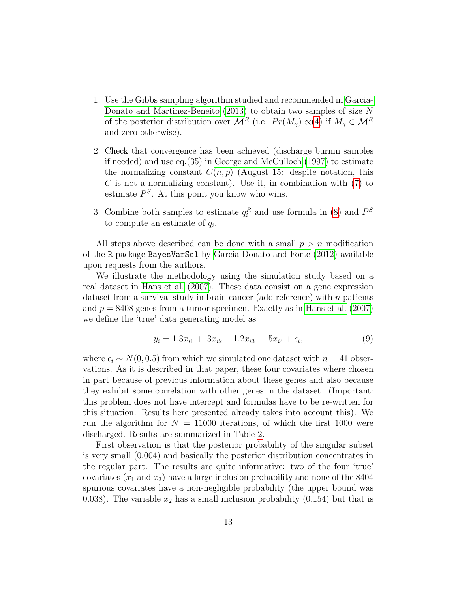- 1. Use the Gibbs sampling algorithm studied and recommended in [Garcia-](#page-16-6)[Donato and Martinez-Beneito](#page-16-6) [\(2013\)](#page-16-6) to obtain two samples of size N of the posterior distribution over  $\mathcal{M}^R$  (i.e.  $Pr(M_\gamma) \propto (4)$  $Pr(M_\gamma) \propto (4)$  if  $M_\gamma \in \mathcal{M}^R$ and zero otherwise).
- 2. Check that convergence has been achieved (discharge burnin samples if needed) and use eq.(35) in [George and McCulloch](#page-16-7) [\(1997\)](#page-16-7) to estimate the normalizing constant  $C(n, p)$  (August 15: despite notation, this  $C$  is not a normalizing constant). Use it, in combination with  $(7)$  to estimate  $P^S$ . At this point you know who wins.
- 3. Combine both samples to estimate  $q_i^R$  and use formula in [\(8\)](#page-11-2) and  $P^S$ to compute an estimate of  $q_i$ .

All steps above described can be done with a small  $p > n$  modification of the R package BayesVarSel by [Garcia-Donato and Forte](#page-16-8) [\(2012\)](#page-16-8) available upon requests from the authors.

We illustrate the methodology using the simulation study based on a real dataset in [Hans et al.](#page-16-9) [\(2007\)](#page-16-9). These data consist on a gene expression dataset from a survival study in brain cancer (add reference) with  $n$  patients and  $p = 8408$  genes from a tumor specimen. Exactly as in [Hans et al.](#page-16-9) [\(2007\)](#page-16-9) we define the 'true' data generating model as

$$
y_i = 1.3x_{i1} + .3x_{i2} - 1.2x_{i3} - .5x_{i4} + \epsilon_i,
$$
\n(9)

where  $\epsilon_i \sim N(0, 0.5)$  from which we simulated one dataset with  $n = 41$  observations. As it is described in that paper, these four covariates where chosen in part because of previous information about these genes and also because they exhibit some correlation with other genes in the dataset. (Important: this problem does not have intercept and formulas have to be re-written for this situation. Results here presented already takes into account this). We run the algorithm for  $N = 11000$  iterations, of which the first 1000 were discharged. Results are summarized in Table [2.](#page-13-0)

First observation is that the posterior probability of the singular subset is very small (0.004) and basically the posterior distribution concentrates in the regular part. The results are quite informative: two of the four 'true' covariates  $(x_1 \text{ and } x_3)$  have a large inclusion probability and none of the 8404 spurious covariates have a non-negligible probability (the upper bound was 0.038). The variable  $x_2$  has a small inclusion probability (0.154) but that is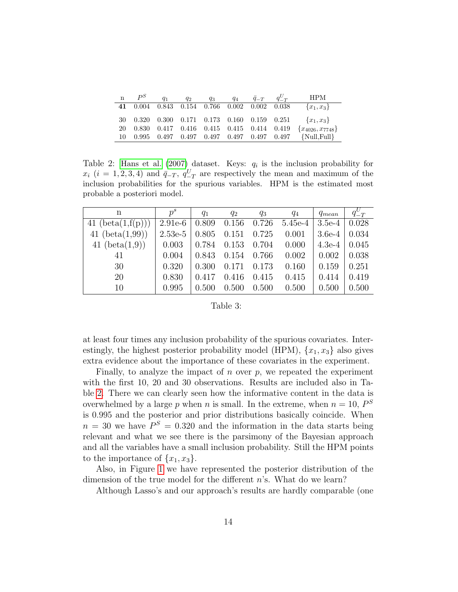| $\mathbf n$ | $P^{S}$                                             | $q_1$ | $q_2$ | $q_3$ | $q_4 \, \bar{q}_{-T} \, q_{-T}^U$ | - HPM                  |  |
|-------------|-----------------------------------------------------|-------|-------|-------|-----------------------------------|------------------------|--|
|             | 41 0.004 0.843 0.154 0.766 0.002 0.002 0.038        |       |       |       |                                   | ${x_1, x_3}$           |  |
|             | 30  0.320  0.300  0.171  0.173  0.160  0.159  0.251 |       |       |       |                                   | ${x_1, x_3}$           |  |
|             | 20  0.830  0.417  0.416  0.415  0.415  0.414  0.419 |       |       |       |                                   | ${x_{4026}, x_{7748}}$ |  |
|             | $10$ 0.995 0.497 0.497 0.497 0.497 0.497 0.497      |       |       |       |                                   | $\{Null, Full\}$       |  |

<span id="page-13-0"></span>Table 2: [Hans et al.](#page-16-9) [\(2007\)](#page-16-9) dataset. Keys:  $q_i$  is the inclusion probability for  $x_i$  (i = 1, 2, 3, 4) and  $\bar{q}_{-T}$ ,  $q_{-T}^U$  are respectively the mean and maximum of the inclusion probabilities for the spurious variables. HPM is the estimated most probable a posteriori model.

| n                          | $p^s$     | $q_1$ | $q_2$ | $q_3$ | $q_4$     | $q_{mean}$ | $q_{-T}^U$ |
|----------------------------|-----------|-------|-------|-------|-----------|------------|------------|
| 41 $(\text{beta}(1,f(p)))$ | $2.91e-6$ | 0.809 | 0.156 | 0.726 | $5.45e-4$ | $3.5e-4$   | 0.028      |
| 41 $(beta(1,99))$          | $2.53e-5$ | 0.805 | 0.151 | 0.725 | 0.001     | $3.6e-4$   | 0.034      |
| 41 $(beta(1,9))$           | 0.003     | 0.784 | 0.153 | 0.704 | 0.000     | $4.3e-4$   | 0.045      |
| 41                         | 0.004     | 0.843 | 0.154 | 0.766 | 0.002     | 0.002      | 0.038      |
| 30                         | 0.320     | 0.300 | 0.171 | 0.173 | 0.160     | 0.159      | 0.251      |
| <b>20</b>                  | 0.830     | 0.417 | 0.416 | 0.415 | 0.415     | 0.414      | 0.419      |
| 10                         | 0.995     | 0.500 | 0.500 | 0.500 | 0.500     | 0.500      | 0.500      |
|                            |           |       |       |       |           |            |            |

#### Table 3:

at least four times any inclusion probability of the spurious covariates. Interestingly, the highest posterior probability model (HPM),  $\{x_1, x_3\}$  also gives extra evidence about the importance of these covariates in the experiment.

Finally, to analyze the impact of n over  $p$ , we repeated the experiment with the first 10, 20 and 30 observations. Results are included also in Table [2.](#page-13-0) There we can clearly seen how the informative content in the data is overwhelmed by a large p when n is small. In the extreme, when  $n = 10$ ,  $P^S$ is 0.995 and the posterior and prior distributions basically coincide. When  $n = 30$  we have  $P^{S} = 0.320$  and the information in the data starts being relevant and what we see there is the parsimony of the Bayesian approach and all the variables have a small inclusion probability. Still the HPM points to the importance of  $\{x_1, x_3\}.$ 

Also, in Figure [1](#page-14-0) we have represented the posterior distribution of the dimension of the true model for the different  $n$ 's. What do we learn?

Although Lasso's and our approach's results are hardly comparable (one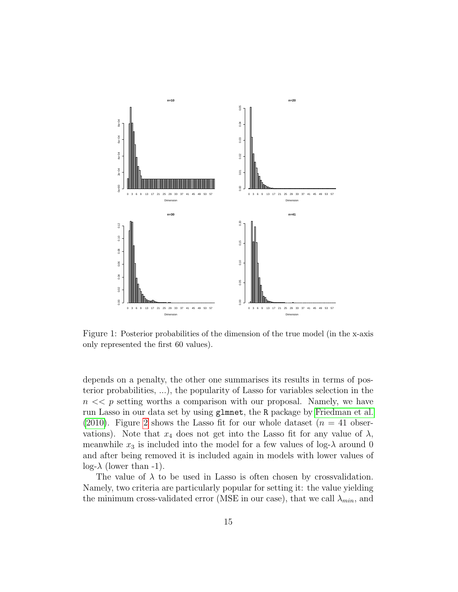

<span id="page-14-0"></span>Figure 1: Posterior probabilities of the dimension of the true model (in the x-axis only represented the first 60 values).

depends on a penalty, the other one summarises its results in terms of posterior probabilities, ...), the popularity of Lasso for variables selection in the  $n \ll p$  setting worths a comparison with our proposal. Namely, we have run Lasso in our data set by using glmnet, the R package by [Friedman et al.](#page-16-10) [\(2010\)](#page-16-10). Figure [2](#page-15-1) shows the Lasso fit for our whole dataset  $(n = 41$  observations). Note that  $x_4$  does not get into the Lasso fit for any value of  $\lambda$ , meanwhile  $x_3$  is included into the model for a few values of log- $\lambda$  around 0 and after being removed it is included again in models with lower values of  $log- $\lambda$  (lower than -1).$ 

The value of  $\lambda$  to be used in Lasso is often chosen by crossvalidation. Namely, two criteria are particularly popular for setting it: the value yielding the minimum cross-validated error (MSE in our case), that we call  $\lambda_{min}$ , and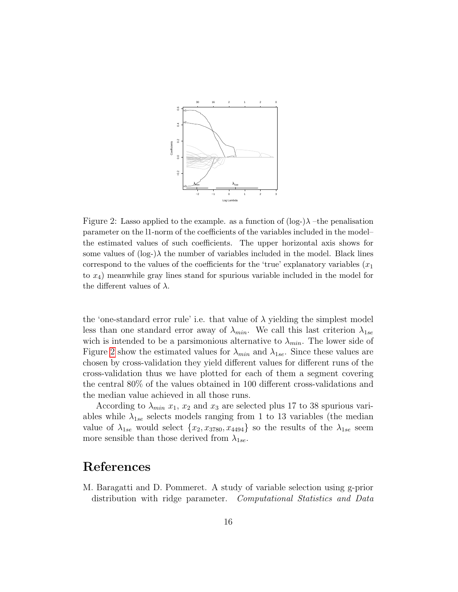

<span id="page-15-1"></span>Figure 2: Lasso applied to the example. as a function of  $(\log_{2})\lambda$  –the penalisation parameter on the l1-norm of the coefficients of the variables included in the model– the estimated values of such coefficients. The upper horizontal axis shows for some values of (log-) $\lambda$  the number of variables included in the model. Black lines correspond to the values of the coefficients for the 'true' explanatory variables  $(x_1)$ to x4) meanwhile gray lines stand for spurious variable included in the model for the different values of  $\lambda$ .

the 'one-standard error rule' i.e. that value of  $\lambda$  yielding the simplest model less than one standard error away of  $\lambda_{min}$ . We call this last criterion  $\lambda_{1se}$ wich is intended to be a parsimonious alternative to  $\lambda_{min}$ . The lower side of Figure [2](#page-15-1) show the estimated values for  $\lambda_{min}$  and  $\lambda_{1se}$ . Since these values are chosen by cross-validation they yield different values for different runs of the cross-validation thus we have plotted for each of them a segment covering the central 80% of the values obtained in 100 different cross-validations and the median value achieved in all those runs.

According to  $\lambda_{min}$   $x_1$ ,  $x_2$  and  $x_3$  are selected plus 17 to 38 spurious variables while  $\lambda_{1se}$  selects models ranging from 1 to 13 variables (the median value of  $\lambda_{1se}$  would select  $\{x_2, x_{3780}, x_{4494}\}$  so the results of the  $\lambda_{1se}$  seem more sensible than those derived from  $\lambda_{1se}$ .

### References

<span id="page-15-0"></span>M. Baragatti and D. Pommeret. A study of variable selection using g-prior distribution with ridge parameter. Computational Statistics and Data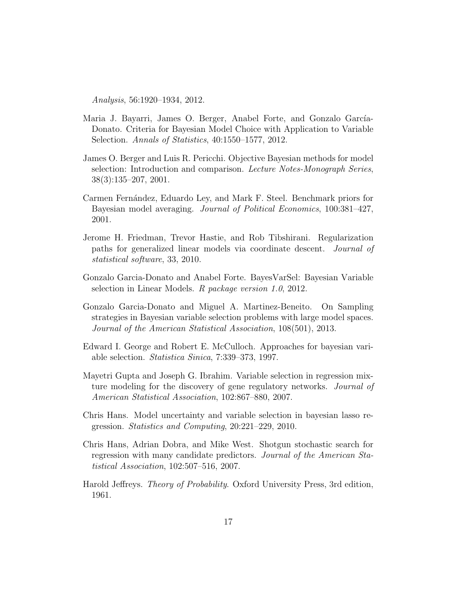Analysis, 56:1920–1934, 2012.

- <span id="page-16-0"></span>Maria J. Bayarri, James O. Berger, Anabel Forte, and Gonzalo García-Donato. Criteria for Bayesian Model Choice with Application to Variable Selection. Annals of Statistics, 40:1550–1577, 2012.
- <span id="page-16-1"></span>James O. Berger and Luis R. Pericchi. Objective Bayesian methods for model selection: Introduction and comparison. Lecture Notes-Monograph Series, 38(3):135–207, 2001.
- <span id="page-16-2"></span>Carmen Fernández, Eduardo Ley, and Mark F. Steel. Benchmark priors for Bayesian model averaging. Journal of Political Economics, 100:381–427, 2001.
- <span id="page-16-10"></span>Jerome H. Friedman, Trevor Hastie, and Rob Tibshirani. Regularization paths for generalized linear models via coordinate descent. Journal of statistical software, 33, 2010.
- <span id="page-16-8"></span>Gonzalo Garcia-Donato and Anabel Forte. BayesVarSel: Bayesian Variable selection in Linear Models. R package version 1.0, 2012.
- <span id="page-16-6"></span>Gonzalo Garcia-Donato and Miguel A. Martinez-Beneito. On Sampling strategies in Bayesian variable selection problems with large model spaces. Journal of the American Statistical Association, 108(501), 2013.
- <span id="page-16-7"></span>Edward I. George and Robert E. McCulloch. Approaches for bayesian variable selection. Statistica Sinica, 7:339–373, 1997.
- <span id="page-16-4"></span>Mayetri Gupta and Joseph G. Ibrahim. Variable selection in regression mixture modeling for the discovery of gene regulatory networks. *Journal of* American Statistical Association, 102:867–880, 2007.
- <span id="page-16-3"></span>Chris Hans. Model uncertainty and variable selection in bayesian lasso regression. Statistics and Computing, 20:221–229, 2010.
- <span id="page-16-9"></span>Chris Hans, Adrian Dobra, and Mike West. Shotgun stochastic search for regression with many candidate predictors. Journal of the American Statistical Association, 102:507–516, 2007.
- <span id="page-16-5"></span>Harold Jeffreys. Theory of Probability. Oxford University Press, 3rd edition, 1961.